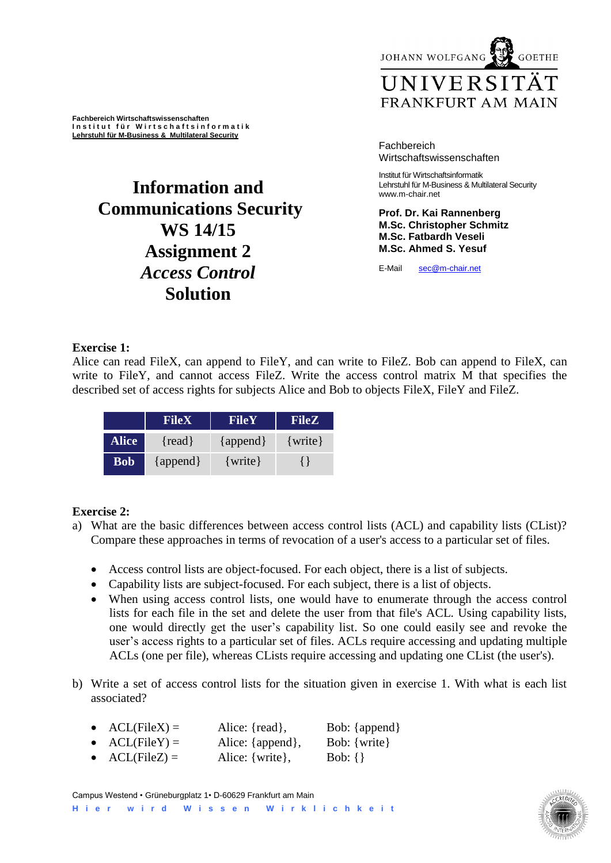JOHANN WOLFGANG **GOETHE** 

# UNIVERSITÄT FRANKFURT AM MAIN

**Fachbereich Wirtschaftswissenschaften I n s t i t u t f ü r W i r t s c h a f t s i n f o r m a t i k Lehrstuhl für M-Business & Multilateral Security**

# **Information and Communications Security WS 14/15 Assignment 2** *Access Control* **Solution**

#### Fachbereich Wirtschaftswissenschaften

Institut für Wirtschaftsinformatik Lehrstuhl für M-Business & Multilateral Security www.m-chair.net

**Prof. Dr. Kai Rannenberg M.Sc. Christopher Schmitz M.Sc. Fatbardh Veseli M.Sc. Ahmed S. Yesuf**

E-Mail [sec@m-chair.net](mailto:sec@m-chair.net)

### **Exercise 1:**

Alice can read FileX, can append to FileY, and can write to FileZ. Bob can append to FileX, can write to FileY, and cannot access FileZ. Write the access control matrix M that specifies the described set of access rights for subjects Alice and Bob to objects FileX, FileY and FileZ.

|              | <b>FileX</b> | FileY        | <b>FileZ</b> |
|--------------|--------------|--------------|--------------|
| <b>Alice</b> | $\{read\}$   | $\{append\}$ | $\{write\}$  |
| <b>Bob</b>   | $\{append\}$ | $\{write\}$  |              |

### **Exercise 2:**

- a) What are the basic differences between access control lists (ACL) and capability lists (CList)? Compare these approaches in terms of revocation of a user's access to a particular set of files.
	- Access control lists are object-focused. For each object, there is a list of subjects.
	- Capability lists are subject-focused. For each subject, there is a list of objects.
	- When using access control lists, one would have to enumerate through the access control lists for each file in the set and delete the user from that file's ACL. Using capability lists, one would directly get the user's capability list. So one could easily see and revoke the user's access rights to a particular set of files. ACLs require accessing and updating multiple ACLs (one per file), whereas CLists require accessing and updating one CList (the user's).
- b) Write a set of access control lists for the situation given in exercise 1. With what is each list associated?
	- $\text{ACL}(\text{FileX}) =$  Alice: {read}, Bob: {append}
	- $\n ACL(FileY) = \n Alice: {append}, \n Bob: {write}$
	- $\text{ACL}(\text{FileZ}) =$  Alice: {write}, Bob: {}

Campus Westend • Grüneburgplatz 1• D-60629 Frankfurt am Main **H i e r w i r d W i s s e n W i r k l i c h k e i t**

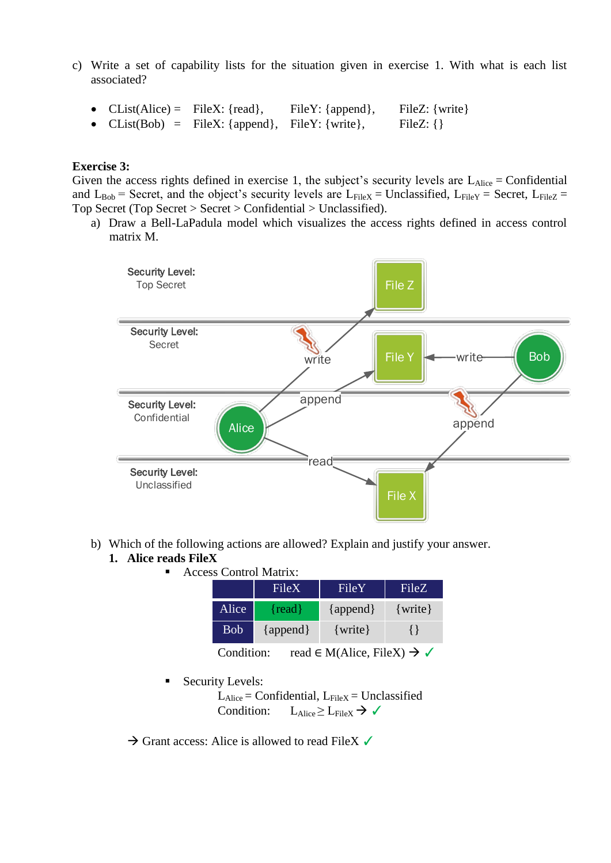- c) Write a set of capability lists for the situation given in exercise 1. With what is each list associated?
	- CList(Alice) = FileX: {read}, FileY: {append}, FileZ: {write}
	- CList(Bob) = FileX: {append}, FileY: {write}, FileZ: {}

#### **Exercise 3:**

Given the access rights defined in exercise 1, the subject's security levels are  $L_{Alice} =$ Confidential and  $L_{Bob}$  = Secret, and the object's security levels are  $L_{FileX}$  = Unclassified,  $L_{FileY}$  = Secret,  $L_{FileZ}$  = Top Secret (Top Secret > Secret > Confidential > Unclassified).

a) Draw a Bell-LaPadula model which visualizes the access rights defined in access control matrix M.



- b) Which of the following actions are allowed? Explain and justify your answer. **1. Alice reads FileX** 
	- Access Control Matrix:

|            | FileX        | FileY                                             | FileZ       |
|------------|--------------|---------------------------------------------------|-------------|
| Alice      | $\{read\}$   | $\{append\}$                                      | $\{write\}$ |
| <b>Bob</b> | $\{append\}$ | $\{write\}$                                       | ∤ ∤         |
| Condition: |              | read $\in M(Alice, FileX) \rightarrow \checkmark$ |             |

Security Levels:

 $L_{Alice} =$  Confidential,  $L_{FileX} =$  Unclassified Condition:  $L_{Alice} \geq L_{FileX} \rightarrow \checkmark$ 

 $\rightarrow$  Grant access: Alice is allowed to read FileX  $\checkmark$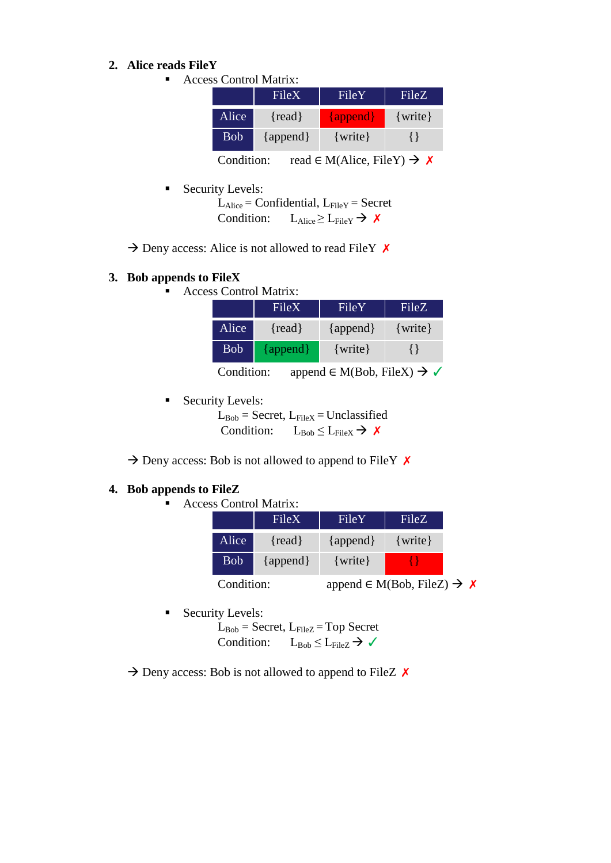#### **2. Alice reads FileY**

■ Access Control Matrix:

|            | <b>FileX</b> | FileY        | FileZ                                |
|------------|--------------|--------------|--------------------------------------|
| Alice      | $\{read\}$   | $\{append\}$ | $\{write\}$                          |
| <b>Bob</b> | $\{append\}$ | $\{write\}$  |                                      |
|            |              | $1 - 35011$  | $T''1$ $\tau$ $\tau$ $\lambda$ $\mu$ |

Condition: read  $\in M(Alice, FileY) \rightarrow \times$ 

Security Levels:

 $L_{Alice} =$  Confidential,  $L_{FileY} =$  Secret Condition:  $L_{Alice} \geq L_{FileY} \rightarrow \chi$ 

 $\rightarrow$  Deny access: Alice is not allowed to read FileY  $\times$ 

#### **3. Bob appends to FileX**

■ Access Control Matrix:

|            | FileX        | FileY                                             | FileZ       |
|------------|--------------|---------------------------------------------------|-------------|
| Alice      | $\{read\}$   | $\{append\}$                                      | $\{write\}$ |
| <b>Bob</b> | $\{append\}$ | $\{write\}$                                       | $\{\}$      |
| Condition: |              | append $\in M(Bob, FileX) \rightarrow \checkmark$ |             |

Security Levels:

 $L_{Bob}$  = Secret,  $L_{FileX}$  = Unclassified Condition:  $L_{Bob} \leq L_{FileX} \rightarrow \chi$ 

 $\rightarrow$  Deny access: Bob is not allowed to append to FileY  $\times$ 

#### **4. Bob appends to FileZ**

■ Access Control Matrix:

|            | FileX        | FileY                                       | FileZ       |
|------------|--------------|---------------------------------------------|-------------|
| Alice      | $\{read\}$   | $\{append\}$                                | $\{write\}$ |
| <b>Bob</b> | $\{append\}$ | $\{write\}$                                 |             |
| Condition: |              | append $\in M(Bob, FileZ) \rightarrow \chi$ |             |

Security Levels:

 $L_{Bob}$  = Secret,  $L_{FileZ}$  = Top Secret Condition:  $L_{Bob} \leq L_{FileZ} \rightarrow \checkmark$ 

 $\rightarrow$  Deny access: Bob is not allowed to append to FileZ  $\times$